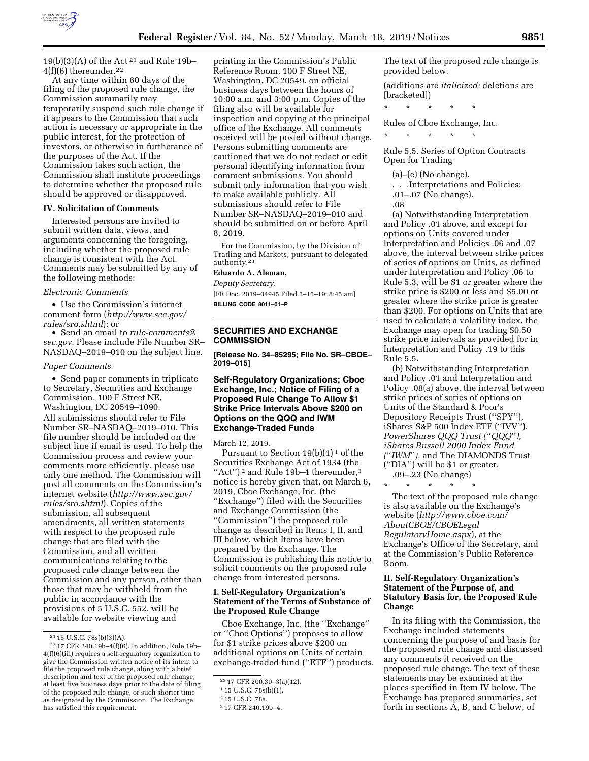

 $19(b)(3)(A)$  of the Act<sup>21</sup> and Rule 19b- $4(f)(6)$  thereunder.<sup>22</sup>

At any time within 60 days of the filing of the proposed rule change, the Commission summarily may temporarily suspend such rule change if it appears to the Commission that such action is necessary or appropriate in the public interest, for the protection of investors, or otherwise in furtherance of the purposes of the Act. If the Commission takes such action, the Commission shall institute proceedings to determine whether the proposed rule should be approved or disapproved.

# **IV. Solicitation of Comments**

Interested persons are invited to submit written data, views, and arguments concerning the foregoing, including whether the proposed rule change is consistent with the Act. Comments may be submitted by any of the following methods:

#### *Electronic Comments*

• Use the Commission's internet comment form (*http://www.sec.gov/ rules/sro.shtml*); or

• Send an email to *rule-comments@ sec.gov*. Please include File Number SR– NASDAQ–2019–010 on the subject line.

#### *Paper Comments*

• Send paper comments in triplicate to Secretary, Securities and Exchange Commission, 100 F Street NE, Washington, DC 20549–1090. All submissions should refer to File Number SR–NASDAQ–2019–010. This file number should be included on the subject line if email is used. To help the Commission process and review your comments more efficiently, please use only one method. The Commission will post all comments on the Commission's internet website (*http://www.sec.gov/ rules/sro.shtml*). Copies of the submission, all subsequent amendments, all written statements with respect to the proposed rule change that are filed with the Commission, and all written communications relating to the proposed rule change between the Commission and any person, other than those that may be withheld from the public in accordance with the provisions of 5 U.S.C. 552, will be available for website viewing and

printing in the Commission's Public Reference Room, 100 F Street NE, Washington, DC 20549, on official business days between the hours of 10:00 a.m. and 3:00 p.m. Copies of the filing also will be available for inspection and copying at the principal office of the Exchange. All comments received will be posted without change. Persons submitting comments are cautioned that we do not redact or edit personal identifying information from comment submissions. You should submit only information that you wish to make available publicly. All submissions should refer to File Number SR–NASDAQ–2019–010 and should be submitted on or before April 8, 2019.

For the Commission, by the Division of Trading and Markets, pursuant to delegated authority.23

## **Eduardo A. Aleman,**

*Deputy Secretary.*  [FR Doc. 2019–04945 Filed 3–15–19; 8:45 am] **BILLING CODE 8011–01–P** 

# **SECURITIES AND EXCHANGE COMMISSION**

**[Release No. 34–85295; File No. SR–CBOE– 2019–015]** 

# **Self-Regulatory Organizations; Cboe Exchange, Inc.; Notice of Filing of a Proposed Rule Change To Allow \$1 Strike Price Intervals Above \$200 on Options on the QQQ and IWM Exchange-Traded Funds**

March 12, 2019.

Pursuant to Section  $19(b)(1)^1$  of the Securities Exchange Act of 1934 (the "Act")<sup>2</sup> and Rule 19b-4 thereunder, $3$ notice is hereby given that, on March 6, 2019, Cboe Exchange, Inc. (the ''Exchange'') filed with the Securities and Exchange Commission (the ''Commission'') the proposed rule change as described in Items I, II, and III below, which Items have been prepared by the Exchange. The Commission is publishing this notice to solicit comments on the proposed rule change from interested persons.

### **I. Self-Regulatory Organization's Statement of the Terms of Substance of the Proposed Rule Change**

Cboe Exchange, Inc. (the ''Exchange'' or ''Cboe Options'') proposes to allow for \$1 strike prices above \$200 on additional options on Units of certain exchange-traded fund (''ETF'') products. The text of the proposed rule change is provided below.

(additions are *italicized;* deletions are [bracketed])

\* \* \* \* \*

Rules of Cboe Exchange, Inc.

\* \* \* \* \*

Rule 5.5. Series of Option Contracts Open for Trading

(a)–(e) (No change).

. . .Interpretations and Policies:

.01–.07 (No change).

.08

(a) Notwithstanding Interpretation and Policy .01 above, and except for options on Units covered under Interpretation and Policies .06 and .07 above, the interval between strike prices of series of options on Units, as defined under Interpretation and Policy .06 to Rule 5.3, will be \$1 or greater where the strike price is \$200 or less and \$5.00 or greater where the strike price is greater than \$200. For options on Units that are used to calculate a volatility index, the Exchange may open for trading \$0.50 strike price intervals as provided for in Interpretation and Policy .19 to this Rule 5.5.

(b) Notwithstanding Interpretation and Policy .01 and Interpretation and Policy .08(a) above, the interval between strike prices of series of options on Units of the Standard & Poor's Depository Receipts Trust (''SPY''), iShares S&P 500 Index ETF (''IVV''), *PowerShares QQQ Trust (*''*QQQ*''*), iShares Russell 2000 Index Fund (*''*IWM*''*),* and The DIAMONDS Trust (''DIA'') will be \$1 or greater.

.09–.23 (No change) \* \* \* \* \*

The text of the proposed rule change is also available on the Exchange's website (*http://www.cboe.com/ AboutCBOE/CBOELegal RegulatoryHome.aspx*), at the Exchange's Office of the Secretary, and at the Commission's Public Reference Room.

# **II. Self-Regulatory Organization's Statement of the Purpose of, and Statutory Basis for, the Proposed Rule Change**

In its filing with the Commission, the Exchange included statements concerning the purpose of and basis for the proposed rule change and discussed any comments it received on the proposed rule change. The text of these statements may be examined at the places specified in Item IV below. The Exchange has prepared summaries, set forth in sections A, B, and C below, of

<sup>21</sup> 15 U.S.C. 78s(b)(3)(A).

<sup>22</sup> 17 CFR 240.19b–4(f)(6). In addition, Rule 19b– 4(f)(6)(iii) requires a self-regulatory organization to give the Commission written notice of its intent to file the proposed rule change, along with a brief description and text of the proposed rule change, at least five business days prior to the date of filing of the proposed rule change, or such shorter time as designated by the Commission. The Exchange has satisfied this requirement.

<sup>23</sup> 17 CFR 200.30–3(a)(12).

<sup>1</sup> 15 U.S.C. 78s(b)(1).

<sup>2</sup> 15 U.S.C. 78a.

<sup>3</sup> 17 CFR 240.19b–4.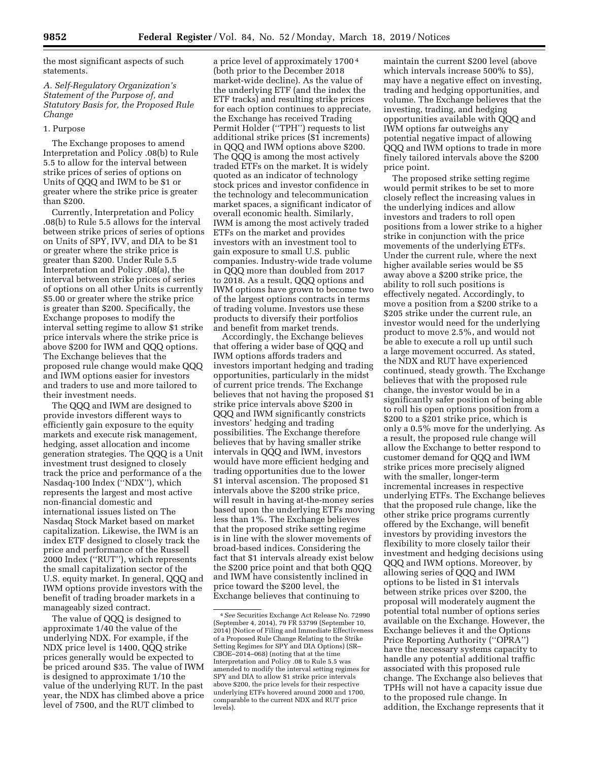the most significant aspects of such statements.

# *A. Self-Regulatory Organization's Statement of the Purpose of, and Statutory Basis for, the Proposed Rule Change*

#### 1. Purpose

The Exchange proposes to amend Interpretation and Policy .08(b) to Rule 5.5 to allow for the interval between strike prices of series of options on Units of QQQ and IWM to be \$1 or greater where the strike price is greater than \$200.

Currently, Interpretation and Policy .08(b) to Rule 5.5 allows for the interval between strike prices of series of options on Units of SPY, IVV, and DIA to be \$1 or greater where the strike price is greater than \$200. Under Rule 5.5 Interpretation and Policy .08(a), the interval between strike prices of series of options on all other Units is currently \$5.00 or greater where the strike price is greater than \$200. Specifically, the Exchange proposes to modify the interval setting regime to allow \$1 strike price intervals where the strike price is above \$200 for IWM and QQQ options. The Exchange believes that the proposed rule change would make QQQ and IWM options easier for investors and traders to use and more tailored to their investment needs.

The QQQ and IWM are designed to provide investors different ways to efficiently gain exposure to the equity markets and execute risk management, hedging, asset allocation and income generation strategies. The QQQ is a Unit investment trust designed to closely track the price and performance of a the Nasdaq-100 Index (''NDX''), which represents the largest and most active non-financial domestic and international issues listed on The Nasdaq Stock Market based on market capitalization. Likewise, the IWM is an index ETF designed to closely track the price and performance of the Russell 2000 Index (''RUT''), which represents the small capitalization sector of the U.S. equity market. In general, QQQ and IWM options provide investors with the benefit of trading broader markets in a manageably sized contract.

The value of QQQ is designed to approximate 1/40 the value of the underlying NDX. For example, if the NDX price level is 1400, QQQ strike prices generally would be expected to be priced around \$35. The value of IWM is designed to approximate 1/10 the value of the underlying RUT. In the past year, the NDX has climbed above a price level of 7500, and the RUT climbed to

a price level of approximately 1700 4 (both prior to the December 2018 market-wide decline). As the value of the underlying ETF (and the index the ETF tracks) and resulting strike prices for each option continues to appreciate, the Exchange has received Trading Permit Holder (''TPH'') requests to list additional strike prices (\$1 increments) in QQQ and IWM options above \$200. The QQQ is among the most actively traded ETFs on the market. It is widely quoted as an indicator of technology stock prices and investor confidence in the technology and telecommunication market spaces, a significant indicator of overall economic health. Similarly, IWM is among the most actively traded ETFs on the market and provides investors with an investment tool to gain exposure to small U.S. public companies. Industry-wide trade volume in QQQ more than doubled from 2017 to 2018. As a result, QQQ options and IWM options have grown to become two of the largest options contracts in terms of trading volume. Investors use these products to diversify their portfolios and benefit from market trends.

Accordingly, the Exchange believes that offering a wider base of QQQ and IWM options affords traders and investors important hedging and trading opportunities, particularly in the midst of current price trends. The Exchange believes that not having the proposed \$1 strike price intervals above \$200 in QQQ and IWM significantly constricts investors' hedging and trading possibilities. The Exchange therefore believes that by having smaller strike intervals in QQQ and IWM, investors would have more efficient hedging and trading opportunities due to the lower \$1 interval ascension. The proposed \$1 intervals above the \$200 strike price, will result in having at-the-money series based upon the underlying ETFs moving less than 1%. The Exchange believes that the proposed strike setting regime is in line with the slower movements of broad-based indices. Considering the fact that \$1 intervals already exist below the \$200 price point and that both QQQ and IWM have consistently inclined in price toward the \$200 level, the Exchange believes that continuing to

maintain the current \$200 level (above which intervals increase 500% to \$5), may have a negative effect on investing, trading and hedging opportunities, and volume. The Exchange believes that the investing, trading, and hedging opportunities available with QQQ and IWM options far outweighs any potential negative impact of allowing QQQ and IWM options to trade in more finely tailored intervals above the \$200 price point.

The proposed strike setting regime would permit strikes to be set to more closely reflect the increasing values in the underlying indices and allow investors and traders to roll open positions from a lower strike to a higher strike in conjunction with the price movements of the underlying ETFs. Under the current rule, where the next higher available series would be \$5 away above a \$200 strike price, the ability to roll such positions is effectively negated. Accordingly, to move a position from a \$200 strike to a \$205 strike under the current rule, an investor would need for the underlying product to move 2.5%, and would not be able to execute a roll up until such a large movement occurred. As stated, the NDX and RUT have experienced continued, steady growth. The Exchange believes that with the proposed rule change, the investor would be in a significantly safer position of being able to roll his open options position from a \$200 to a \$201 strike price, which is only a 0.5% move for the underlying. As a result, the proposed rule change will allow the Exchange to better respond to customer demand for QQQ and IWM strike prices more precisely aligned with the smaller, longer-term incremental increases in respective underlying ETFs. The Exchange believes that the proposed rule change, like the other strike price programs currently offered by the Exchange, will benefit investors by providing investors the flexibility to more closely tailor their investment and hedging decisions using QQQ and IWM options. Moreover, by allowing series of QQQ and IWM options to be listed in \$1 intervals between strike prices over \$200, the proposal will moderately augment the potential total number of options series available on the Exchange. However, the Exchange believes it and the Options Price Reporting Authority (''OPRA'') have the necessary systems capacity to handle any potential additional traffic associated with this proposed rule change. The Exchange also believes that TPHs will not have a capacity issue due to the proposed rule change. In addition, the Exchange represents that it

<sup>4</sup>*See* Securities Exchange Act Release No. 72990 (September 4, 2014), 79 FR 53799 (September 10, 2014) (Notice of Filing and Immediate Effectiveness of a Proposed Rule Change Relating to the Strike Setting Regimes for SPY and DIA Options) (SR– CBOE–2014–068) (noting that at the time Interpretation and Policy .08 to Rule 5.5 was amended to modify the interval setting regimes for SPY and DIA to allow \$1 strike price intervals above \$200, the price levels for their respective underlying ETFs hovered around 2000 and 1700, comparable to the current NDX and RUT price levels).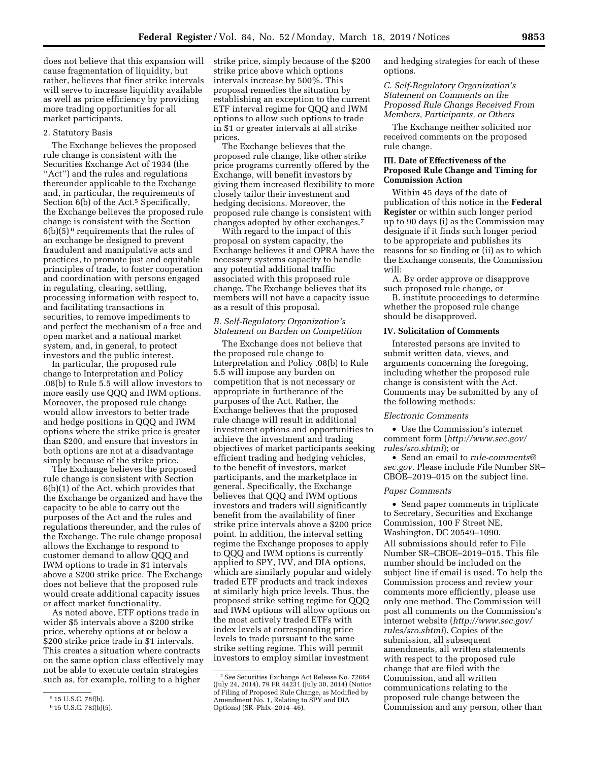does not believe that this expansion will cause fragmentation of liquidity, but rather, believes that finer strike intervals will serve to increase liquidity available as well as price efficiency by providing more trading opportunities for all market participants.

#### 2. Statutory Basis

The Exchange believes the proposed rule change is consistent with the Securities Exchange Act of 1934 (the "Act") and the rules and regulations thereunder applicable to the Exchange and, in particular, the requirements of Section 6(b) of the Act.<sup>5</sup> Specifically, the Exchange believes the proposed rule change is consistent with the Section 6(b)(5) 6 requirements that the rules of an exchange be designed to prevent fraudulent and manipulative acts and practices, to promote just and equitable principles of trade, to foster cooperation and coordination with persons engaged in regulating, clearing, settling, processing information with respect to, and facilitating transactions in securities, to remove impediments to and perfect the mechanism of a free and open market and a national market system, and, in general, to protect investors and the public interest.

In particular, the proposed rule change to Interpretation and Policy .08(b) to Rule 5.5 will allow investors to more easily use QQQ and IWM options. Moreover, the proposed rule change would allow investors to better trade and hedge positions in QQQ and IWM options where the strike price is greater than \$200, and ensure that investors in both options are not at a disadvantage simply because of the strike price.

The Exchange believes the proposed rule change is consistent with Section 6(b)(1) of the Act, which provides that the Exchange be organized and have the capacity to be able to carry out the purposes of the Act and the rules and regulations thereunder, and the rules of the Exchange. The rule change proposal allows the Exchange to respond to customer demand to allow QQQ and IWM options to trade in \$1 intervals above a \$200 strike price. The Exchange does not believe that the proposed rule would create additional capacity issues or affect market functionality.

As noted above, ETF options trade in wider \$5 intervals above a \$200 strike price, whereby options at or below a \$200 strike price trade in \$1 intervals. This creates a situation where contracts on the same option class effectively may not be able to execute certain strategies such as, for example, rolling to a higher

strike price, simply because of the \$200 strike price above which options intervals increase by 500%. This proposal remedies the situation by establishing an exception to the current ETF interval regime for QQQ and IWM options to allow such options to trade in \$1 or greater intervals at all strike prices.

The Exchange believes that the proposed rule change, like other strike price programs currently offered by the Exchange, will benefit investors by giving them increased flexibility to more closely tailor their investment and hedging decisions. Moreover, the proposed rule change is consistent with changes adopted by other exchanges.7

With regard to the impact of this proposal on system capacity, the Exchange believes it and OPRA have the necessary systems capacity to handle any potential additional traffic associated with this proposed rule change. The Exchange believes that its members will not have a capacity issue as a result of this proposal.

# *B. Self-Regulatory Organization's Statement on Burden on Competition*

The Exchange does not believe that the proposed rule change to Interpretation and Policy .08(b) to Rule 5.5 will impose any burden on competition that is not necessary or appropriate in furtherance of the purposes of the Act. Rather, the Exchange believes that the proposed rule change will result in additional investment options and opportunities to achieve the investment and trading objectives of market participants seeking efficient trading and hedging vehicles, to the benefit of investors, market participants, and the marketplace in general. Specifically, the Exchange believes that QQQ and IWM options investors and traders will significantly benefit from the availability of finer strike price intervals above a \$200 price point. In addition, the interval setting regime the Exchange proposes to apply to QQQ and IWM options is currently applied to SPY, IVV, and DIA options, which are similarly popular and widely traded ETF products and track indexes at similarly high price levels. Thus, the proposed strike setting regime for QQQ and IWM options will allow options on the most actively traded ETFs with index levels at corresponding price levels to trade pursuant to the same strike setting regime. This will permit investors to employ similar investment

and hedging strategies for each of these options.

*C. Self-Regulatory Organization's Statement on Comments on the Proposed Rule Change Received From Members, Participants, or Others* 

The Exchange neither solicited nor received comments on the proposed rule change.

### **III. Date of Effectiveness of the Proposed Rule Change and Timing for Commission Action**

Within 45 days of the date of publication of this notice in the **Federal Register** or within such longer period up to 90 days (i) as the Commission may designate if it finds such longer period to be appropriate and publishes its reasons for so finding or (ii) as to which the Exchange consents, the Commission will:

A. By order approve or disapprove such proposed rule change, or

B. institute proceedings to determine whether the proposed rule change should be disapproved.

### **IV. Solicitation of Comments**

Interested persons are invited to submit written data, views, and arguments concerning the foregoing, including whether the proposed rule change is consistent with the Act. Comments may be submitted by any of the following methods:

#### *Electronic Comments*

• Use the Commission's internet comment form (*http://www.sec.gov/ rules/sro.shtml*); or

• Send an email to *rule-comments@ sec.gov*. Please include File Number SR– CBOE–2019–015 on the subject line.

#### *Paper Comments*

• Send paper comments in triplicate to Secretary, Securities and Exchange Commission, 100 F Street NE, Washington, DC 20549–1090.

All submissions should refer to File Number SR–CBOE–2019–015. This file number should be included on the subject line if email is used. To help the Commission process and review your comments more efficiently, please use only one method. The Commission will post all comments on the Commission's internet website (*http://www.sec.gov/ rules/sro.shtml*). Copies of the submission, all subsequent amendments, all written statements with respect to the proposed rule change that are filed with the Commission, and all written communications relating to the proposed rule change between the Commission and any person, other than

<sup>5</sup> 15 U.S.C. 78f(b).

<sup>6</sup> 15 U.S.C. 78f(b)(5).

<sup>7</sup>*See* Securities Exchange Act Release No. 72664 (July 24, 2014), 79 FR 44231 (July 30, 2014) (Notice of Filing of Proposed Rule Change, as Modified by Amendment No. 1, Relating to SPY and DIA Options) (SR–Phlx–2014–46).